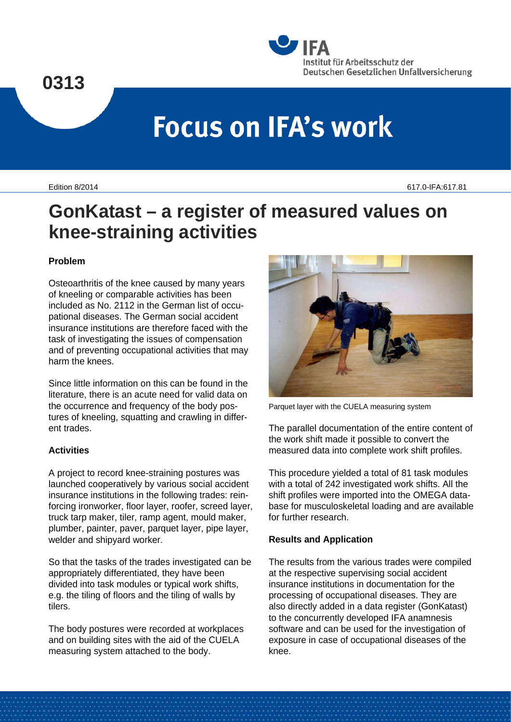

# **Focus on IFA's work**

Edition 8/2014 617.0-IFA:617.81

# **GonKatast – a register of measured values on knee-straining activities**

# **Problem**

Osteoarthritis of the knee caused by many years of kneeling or comparable activities has been included as No. 2112 in the German list of occupational diseases. The German social accident insurance institutions are therefore faced with the task of investigating the issues of compensation and of preventing occupational activities that may harm the knees.

Since little information on this can be found in the literature, there is an acute need for valid data on the occurrence and frequency of the body postures of kneeling, squatting and crawling in different trades.

#### **Activities**

A project to record knee-straining postures was launched cooperatively by various social accident insurance institutions in the following trades: reinforcing ironworker, floor layer, roofer, screed layer, truck tarp maker, tiler, ramp agent, mould maker, plumber, painter, paver, parquet layer, pipe layer, welder and shipyard worker.

So that the tasks of the trades investigated can be appropriately differentiated, they have been divided into task modules or typical work shifts, e.g. the tiling of floors and the tiling of walls by tilers.

The body postures were recorded at workplaces and on building sites with the aid of the CUELA measuring system attached to the body.



Parquet layer with the CUELA measuring system

The parallel documentation of the entire content of the work shift made it possible to convert the measured data into complete work shift profiles.

This procedure yielded a total of 81 task modules with a total of 242 investigated work shifts. All the shift profiles were imported into the OMEGA database for musculoskeletal loading and are available for further research.

#### **Results and Application**

The results from the various trades were compiled at the respective supervising social accident insurance institutions in documentation for the processing of occupational diseases. They are also directly added in a data register (GonKatast) to the concurrently developed IFA anamnesis software and can be used for the investigation of exposure in case of occupational diseases of the knee.